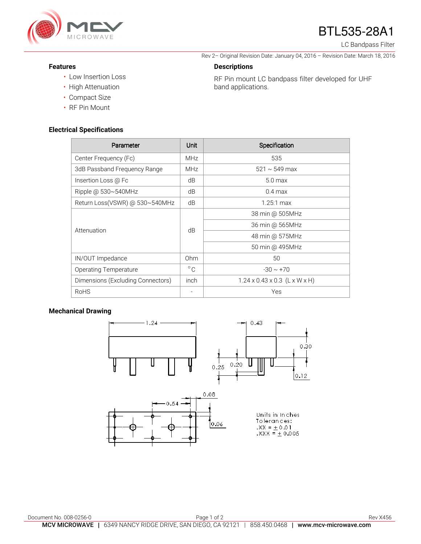

# BTL535-28A1

Rev 2– Original Revision Date: January 04, 2016 – Revision Date: March 18, 2016

RF Pin mount LC bandpass filter developed for UHF

LC Bandpass Filter

#### **Features**

- Low Insertion Loss
- High Attenuation
- Compact Size
- RF Pin Mount

#### **Electrical Specifications**

| Parameter                         | Unit         | Specification                             |
|-----------------------------------|--------------|-------------------------------------------|
| Center Frequency (Fc)             | <b>MHz</b>   | 535                                       |
| 3dB Passband Frequency Range      | <b>MHz</b>   | $521 \sim 549$ max                        |
| Insertion Loss @ Fc               | dB           | 5.0 <sub>max</sub>                        |
| Ripple @ 530~540MHz               | dB           | $0.4 \text{ max}$                         |
| Return Loss(VSWR) @ 530~540MHz    | dB           | $1.25:1 \text{ max}$                      |
| Attenuation                       | dB           | 38 min @ 505MHz                           |
|                                   |              | 36 min @ 565MHz                           |
|                                   |              | 48 min @ 575MHz                           |
|                                   |              | 50 min @ 495MHz                           |
| IN/OUT Impedance                  | Ohm          | 50                                        |
| <b>Operating Temperature</b>      | $^{\circ}$ C | $-30 \sim +70$                            |
| Dimensions (Excluding Connectors) | inch         | $1.24 \times 0.43 \times 0.3$ (L x W x H) |
| <b>RoHS</b>                       |              | Yes                                       |

**Descriptions** 

band applications.

### **Mechanical Drawing**